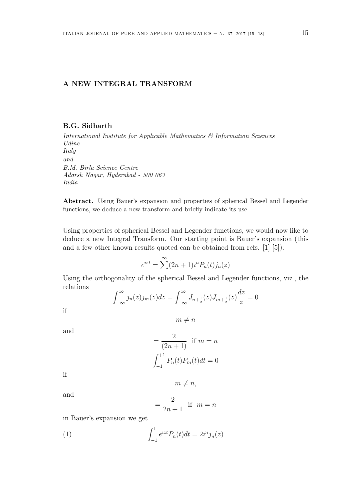## **A NEW INTEGRAL TRANSFORM**

## **B.G. Sidharth**

*International Institute for Applicable Mathematics & Information Sciences Udine Italy and B.M. Birla Science Centre Adarsh Nagar, Hyderabad - 500 063 India*

**Abstract.** Using Bauer's expansion and properties of spherical Bessel and Legender functions, we deduce a new transform and briefly indicate its use.

Using properties of spherical Bessel and Legender functions, we would now like to deduce a new Integral Transform. Our starting point is Bauer's expansion (this and a few other known results quoted can be obtained from refs. [1]-[5]):

$$
e^{izt} = \sum^{\infty} (2n+1) i^n P_n(t) j_n(z)
$$

Using the orthogonality of the spherical Bessel and Legender functions, viz., the relations

$$
\int_{-\infty}^{\infty} j_n(z) j_m(z) dz = \int_{-\infty}^{\infty} J_{n + \frac{1}{2}}(z) J_{m + \frac{1}{2}}(z) \frac{dz}{z} = 0
$$

if

$$
m\neq n
$$

and

$$
= \frac{2}{(2n+1)} \text{ if } m = n
$$

$$
\int_{-1}^{+1} P_n(t) P_m(t) dt = 0
$$

if

and

$$
= \frac{2}{2n+1}
$$
 if  $m = n$ 

 $m \neq n$ ,

in Bauer's expansion we get

(1) 
$$
\int_{-1}^{1} e^{izt} P_n(t) dt = 2i^n j_n(z)
$$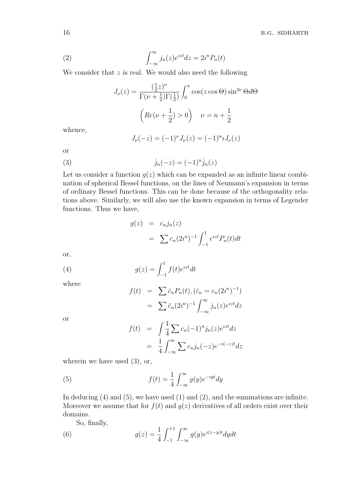(2) 
$$
\int_{-\infty}^{\infty} j_n(z)e^{izt} dz = 2i^n P_n(t)
$$

We consider that *z* is real. We would also need the following

$$
J_{\nu}(z) = \frac{\left(\frac{1}{2}z\right)^{\nu}}{\Gamma(\nu + \frac{1}{2})\Gamma(\frac{1}{2})} \int_0^{\pi} \cos(z\cos\Theta)\sin^{2\nu}\Theta d\Theta
$$

$$
\left(Re(\nu + \frac{1}{2}) > 0\right) \quad \nu = n + \frac{1}{2}
$$

whence,

$$
J_{\nu}(-z) = (-1)^{\nu} J_{\nu}(z) = (-1)^{n} J_{\nu}(z)
$$

or

(3) 
$$
j_n(-z) = (-1)^n j_n(z)
$$

Let us consider a function  $q(z)$  which can be expanded as an infinite linear combination of spherical Bessel functions, on the lines of Neumann's expansion in terms of ordinary Bessel functions. This can be done because of the orthogonality relations above. Similarly, we will also use the known expansion in terms of Legender functions. Thus we have,

$$
g(z) = c_n j_n(z)
$$
  
=  $\sum c_n (2i^n)^{-1} \int_{-1}^1 e^{izt} P_n(t) dt$ 

or,

(4) 
$$
g(z) = \int_{-1}^{1} f(t)e^{izt}dt
$$

where

$$
f(t) = \sum \bar{c}_n P_n(t), (\bar{c}_n = c_n (2i^n)^{-1})
$$

$$
= \sum \bar{c}_n (2i^n)^{-1} \int_{-\infty}^{\infty} j_n(z) e^{izt} dz
$$

or

$$
f(t) = \int \frac{1}{4} \sum c_n (-1)^n j_n(z) e^{izt} dz
$$
  
= 
$$
\frac{1}{4} \int_{-\infty}^{\infty} \sum c_n j_n(-z) e^{-i(-z)t} dz
$$

wherein we have used  $(3)$ , or,

(5) 
$$
f(t) = \frac{1}{4} \int_{-\infty}^{\infty} g(y)e^{-iyt} dy
$$

In deducing (4) and (5), we have used (1) and (2), and the summations are infinite. Moreover we assume that for  $f(t)$  and  $g(z)$  derivatives of all orders exist over their domains.

So, finally,

(6) 
$$
g(z) = \frac{1}{4} \int_{-1}^{+1} \int_{-\infty}^{\infty} g(y) e^{i(z-y)t} dy dt
$$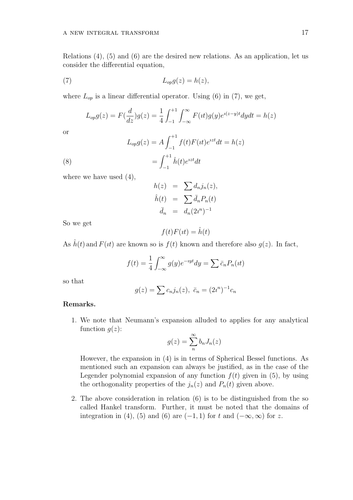Relations (4), (5) and (6) are the desired new relations. As an application, let us consider the differential equation,

$$
L_{op}g(z) = h(z),
$$

where  $L_{op}$  is a linear differential operator. Using (6) in (7), we get,

$$
L_{op}g(z) = F(\frac{d}{dz})g(z) = \frac{1}{4} \int_{-1}^{+1} \int_{-\infty}^{\infty} F(\iota t)g(y)e^{i(z-y)t} dy dt = h(z)
$$

or

(8) 
$$
L_{op}g(z) = A \int_{-1}^{+1} f(t)F(it)e^{izt}dt = h(z)
$$

$$
= \int_{-1}^{+1} \hat{h}(t)e^{izt}dt
$$

where we have used  $(4)$ ,

$$
h(z) = \sum d_n j_n(z),
$$
  

$$
\hat{h}(t) = \sum \bar{d}_n P_n(t)
$$
  

$$
\bar{d}_n = d_n (2i^n)^{-1}
$$

So we get

$$
f(t)F(\imath t) = \hat{h}(t)
$$

As  $\hat{h}(t)$  and  $F(it)$  are known so is  $f(t)$  known and therefore also  $g(z)$ . In fact,

$$
f(t) = \frac{1}{4} \int_{-\infty}^{\infty} g(y)e^{-iyt} dy = \sum \bar{c}_n P_n(it)
$$

so that

$$
g(z) = \sum c_n j_n(z), \ \bar{c}_n = (2i^n)^{-1} c_n
$$

## **Remarks.**

1. We note that Neumann's expansion alluded to applies for any analytical function  $q(z)$ :

$$
g(z) = \sum_{n=0}^{\infty} b_n J_n(z)
$$

However, the expansion in (4) is in terms of Spherical Bessel functions. As mentioned such an expansion can always be justified, as in the case of the Legender polynomial expansion of any function  $f(t)$  given in (5), by using the orthogonality properties of the  $j_n(z)$  and  $P_n(t)$  given above.

2. The above consideration in relation (6) is to be distinguished from the so called Hankel transform. Further, it must be noted that the domains of integration in (4), (5) and (6) are  $(-1, 1)$  for  $t$  and  $(-\infty, \infty)$  for  $z$ .